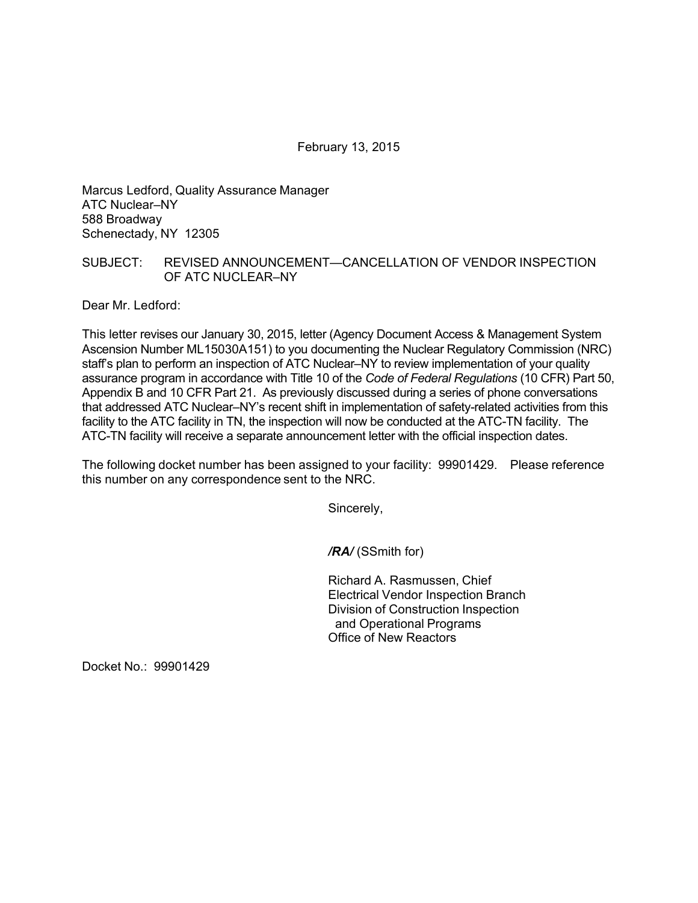February 13, 2015

Marcus Ledford, Quality Assurance Manager ATC Nuclear–NY 588 Broadway Schenectady, NY 12305

## SUBJECT: REVISED ANNOUNCEMENT—CANCELLATION OF VENDOR INSPECTION OF ATC NUCLEAR–NY

Dear Mr. Ledford:

This letter revises our January 30, 2015, letter (Agency Document Access & Management System Ascension Number ML15030A151) to you documenting the Nuclear Regulatory Commission (NRC) staff's plan to perform an inspection of ATC Nuclear–NY to review implementation of your quality assurance program in accordance with Title 10 of the *Code of Federal Regulations* (10 CFR) Part 50, Appendix B and 10 CFR Part 21. As previously discussed during a series of phone conversations that addressed ATC Nuclear–NY's recent shift in implementation of safety-related activities from this facility to the ATC facility in TN, the inspection will now be conducted at the ATC-TN facility. The ATC-TN facility will receive a separate announcement letter with the official inspection dates.

The following docket number has been assigned to your facility: 99901429. Please reference this number on any correspondence sent to the NRC.

Sincerely,

*/RA/* (SSmith for)

Richard A. Rasmussen, Chief Electrical Vendor Inspection Branch Division of Construction Inspection and Operational Programs Office of New Reactors

Docket No.: 99901429